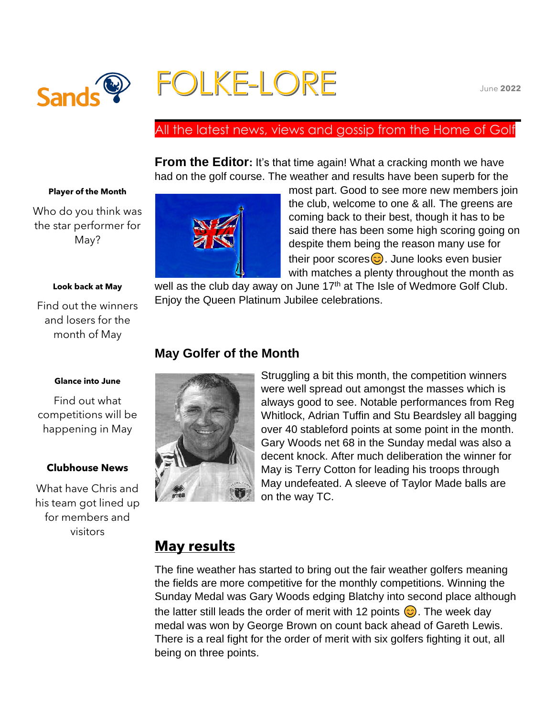

# FOLKE-LORE

## All the latest news, views and gossip from the Home of Golf

**From the Editor:** It's that time again! What a cracking month we have had on the golf course. The weather and results have been superb for the

#### **Player of the Month**

Who do you think was the star performer for May?

#### **Look back at May**

Find out the winners and losers for the month of May



most part. Good to see more new members join the club, welcome to one & all. The greens are coming back to their best, though it has to be said there has been some high scoring going on despite them being the reason many use for their poor scores $\circled{c}$ . June looks even busier with matches a plenty throughout the month as

well as the club day away on June  $17<sup>th</sup>$  at The Isle of Wedmore Golf Club. Enjoy the Queen Platinum Jubilee celebrations.

## **May Golfer of the Month**



Find out what competitions will be happening in May

### **Clubhouse News**

What have Chris and his team got lined up for members and visitors



Struggling a bit this month, the competition winners were well spread out amongst the masses which is always good to see. Notable performances from Reg Whitlock, Adrian Tuffin and Stu Beardsley all bagging over 40 stableford points at some point in the month. Gary Woods net 68 in the Sunday medal was also a decent knock. After much deliberation the winner for May is Terry Cotton for leading his troops through May undefeated. A sleeve of Taylor Made balls are on the way TC.

## **May results**

The fine weather has started to bring out the fair weather golfers meaning the fields are more competitive for the monthly competitions. Winning the Sunday Medal was Gary Woods edging Blatchy into second place although the latter still leads the order of merit with 12 points  $\odot$ . The week day medal was won by George Brown on count back ahead of Gareth Lewis. There is a real fight for the order of merit with six golfers fighting it out, all being on three points.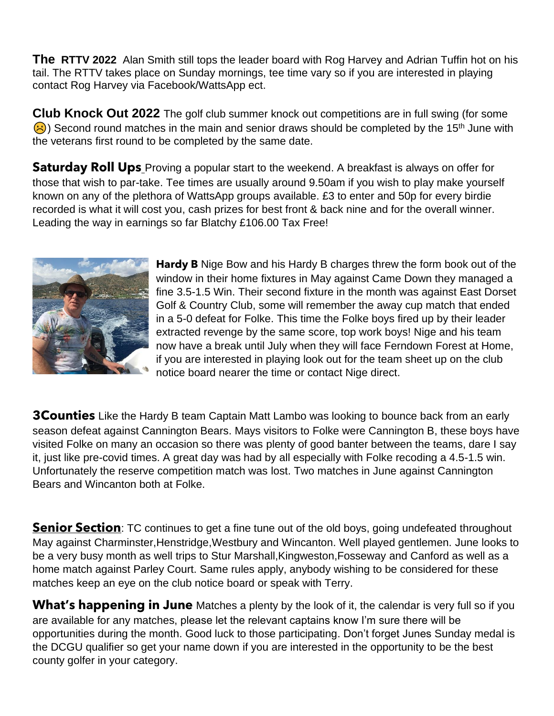**The RTTV 2022** Alan Smith still tops the leader board with Rog Harvey and Adrian Tuffin hot on his tail. The RTTV takes place on Sunday mornings, tee time vary so if you are interested in playing contact Rog Harvey via Facebook/WattsApp ect.

**Club Knock Out 2022** The golf club summer knock out competitions are in full swing (for some  $\left(\frac{1}{2}\right)$ ) Second round matches in the main and senior draws should be completed by the 15<sup>th</sup> June with the veterans first round to be completed by the same date.

**Saturday Roll Ups** Proving a popular start to the weekend. A breakfast is always on offer for those that wish to par-take. Tee times are usually around 9.50am if you wish to play make yourself known on any of the plethora of WattsApp groups available. £3 to enter and 50p for every birdie recorded is what it will cost you, cash prizes for best front & back nine and for the overall winner. Leading the way in earnings so far Blatchy £106.00 Tax Free!



**Hardy B** Nige Bow and his Hardy B charges threw the form book out of the window in their home fixtures in May against Came Down they managed a fine 3.5-1.5 Win. Their second fixture in the month was against East Dorset Golf & Country Club, some will remember the away cup match that ended in a 5-0 defeat for Folke. This time the Folke boys fired up by their leader extracted revenge by the same score, top work boys! Nige and his team now have a break until July when they will face Ferndown Forest at Home, if you are interested in playing look out for the team sheet up on the club notice board nearer the time or contact Nige direct.

**3Counties** Like the Hardy B team Captain Matt Lambo was looking to bounce back from an early season defeat against Cannington Bears. Mays visitors to Folke were Cannington B, these boys have visited Folke on many an occasion so there was plenty of good banter between the teams, dare I say it, just like pre-covid times. A great day was had by all especially with Folke recoding a 4.5-1.5 win. Unfortunately the reserve competition match was lost. Two matches in June against Cannington Bears and Wincanton both at Folke.

**Senior Section**: TC continues to get a fine tune out of the old boys, going undefeated throughout May against Charminster,Henstridge,Westbury and Wincanton. Well played gentlemen. June looks to be a very busy month as well trips to Stur Marshall,Kingweston,Fosseway and Canford as well as a home match against Parley Court. Same rules apply, anybody wishing to be considered for these matches keep an eye on the club notice board or speak with Terry.

**What's happening in June** Matches a plenty by the look of it, the calendar is very full so if you are available for any matches, please let the relevant captains know I'm sure there will be opportunities during the month. Good luck to those participating. Don't forget Junes Sunday medal is the DCGU qualifier so get your name down if you are interested in the opportunity to be the best county golfer in your category.